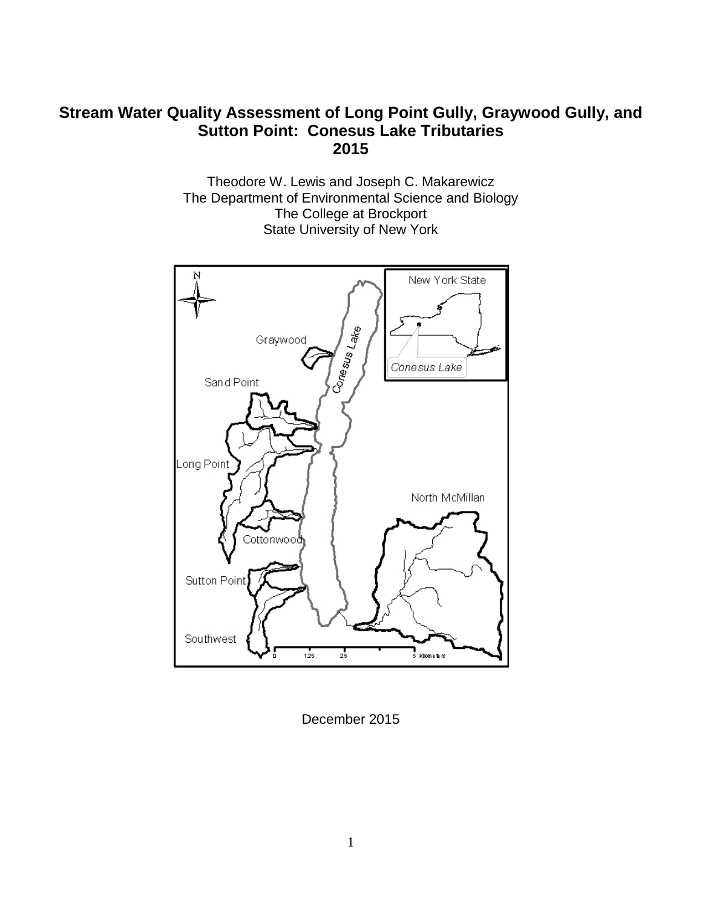# **Stream Water Quality Assessment of Long Point Gully, Graywood Gully, and Sutton Point: Conesus Lake Tributaries 2015**

Theodore W. Lewis and Joseph C. Makarewicz The Department of Environmental Science and Biology The College at Brockport State University of New York



December 2015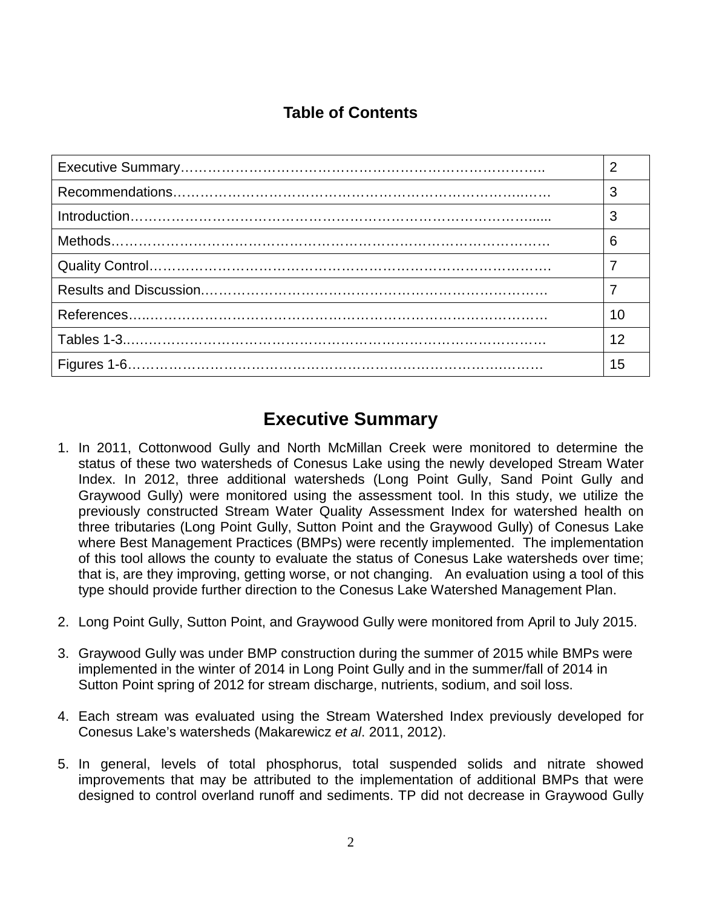# **Table of Contents**

| 3  |
|----|
| 3  |
| 6  |
|    |
|    |
| 10 |
| 12 |
| 15 |

# **Executive Summary**

- 1. In 2011, Cottonwood Gully and North McMillan Creek were monitored to determine the status of these two watersheds of Conesus Lake using the newly developed Stream Water Index. In 2012, three additional watersheds (Long Point Gully, Sand Point Gully and Graywood Gully) were monitored using the assessment tool. In this study, we utilize the previously constructed Stream Water Quality Assessment Index for watershed health on three tributaries (Long Point Gully, Sutton Point and the Graywood Gully) of Conesus Lake where Best Management Practices (BMPs) were recently implemented. The implementation of this tool allows the county to evaluate the status of Conesus Lake watersheds over time; that is, are they improving, getting worse, or not changing. An evaluation using a tool of this type should provide further direction to the Conesus Lake Watershed Management Plan.
- 2. Long Point Gully, Sutton Point, and Graywood Gully were monitored from April to July 2015.
- 3. Graywood Gully was under BMP construction during the summer of 2015 while BMPs were implemented in the winter of 2014 in Long Point Gully and in the summer/fall of 2014 in Sutton Point spring of 2012 for stream discharge, nutrients, sodium, and soil loss.
- 4. Each stream was evaluated using the Stream Watershed Index previously developed for Conesus Lake's watersheds (Makarewicz *et al*. 2011, 2012).
- 5. In general, levels of total phosphorus, total suspended solids and nitrate showed improvements that may be attributed to the implementation of additional BMPs that were designed to control overland runoff and sediments. TP did not decrease in Graywood Gully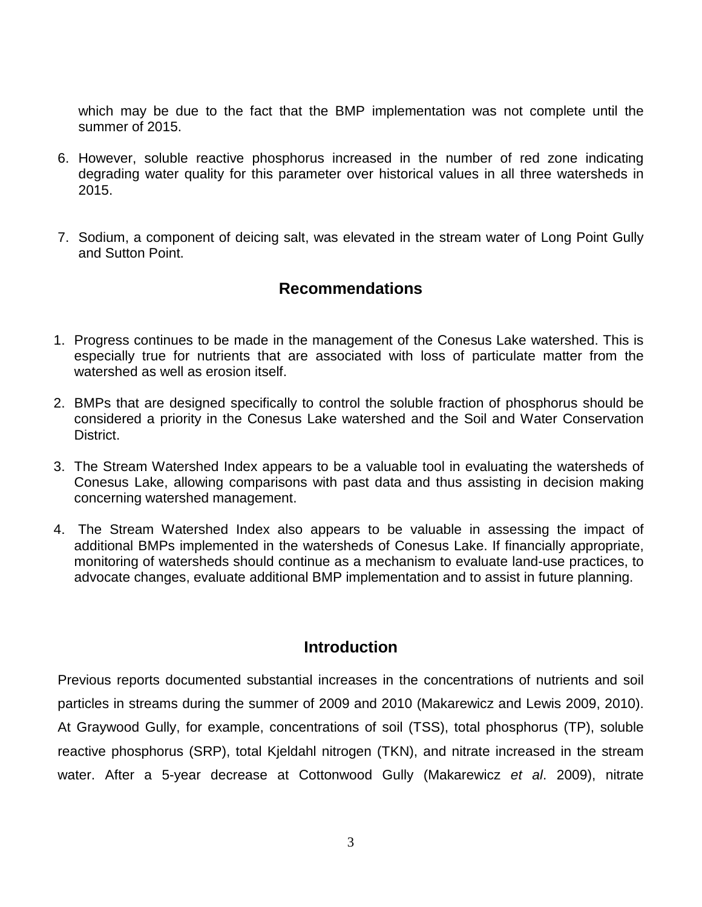which may be due to the fact that the BMP implementation was not complete until the summer of 2015.

- 6. However, soluble reactive phosphorus increased in the number of red zone indicating degrading water quality for this parameter over historical values in all three watersheds in 2015.
- 7. Sodium, a component of deicing salt, was elevated in the stream water of Long Point Gully and Sutton Point.

# **Recommendations**

- 1. Progress continues to be made in the management of the Conesus Lake watershed. This is especially true for nutrients that are associated with loss of particulate matter from the watershed as well as erosion itself.
- 2. BMPs that are designed specifically to control the soluble fraction of phosphorus should be considered a priority in the Conesus Lake watershed and the Soil and Water Conservation District.
- 3. The Stream Watershed Index appears to be a valuable tool in evaluating the watersheds of Conesus Lake, allowing comparisons with past data and thus assisting in decision making concerning watershed management.
- 4. The Stream Watershed Index also appears to be valuable in assessing the impact of additional BMPs implemented in the watersheds of Conesus Lake. If financially appropriate, monitoring of watersheds should continue as a mechanism to evaluate land-use practices, to advocate changes, evaluate additional BMP implementation and to assist in future planning.

# **Introduction**

Previous reports documented substantial increases in the concentrations of nutrients and soil particles in streams during the summer of 2009 and 2010 (Makarewicz and Lewis 2009, 2010). At Graywood Gully, for example, concentrations of soil (TSS), total phosphorus (TP), soluble reactive phosphorus (SRP), total Kjeldahl nitrogen (TKN), and nitrate increased in the stream water. After a 5-year decrease at Cottonwood Gully (Makarewicz *et al*. 2009), nitrate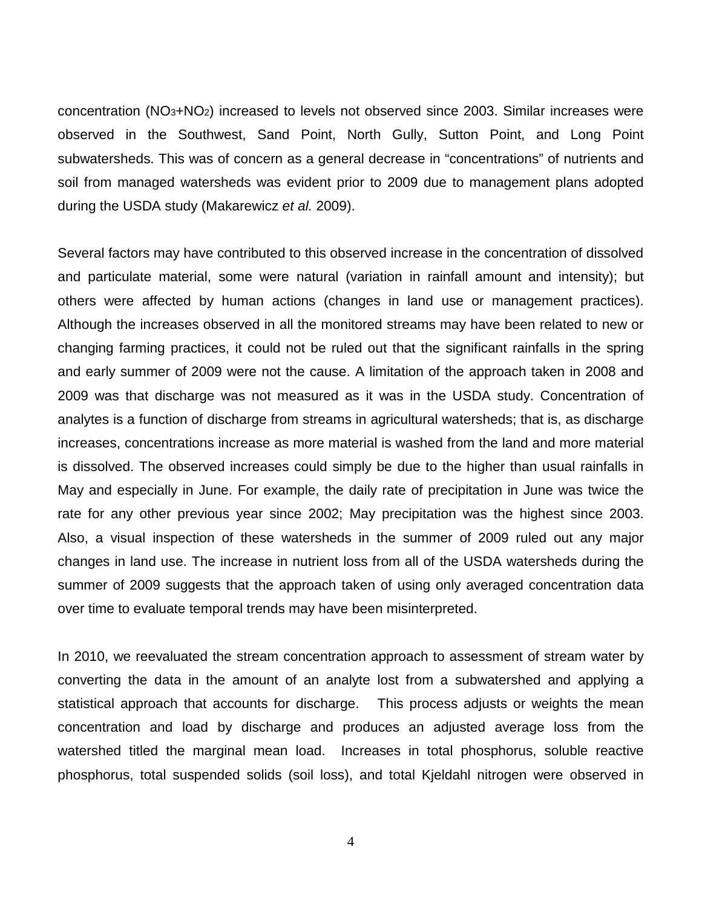concentration (NO3+NO2) increased to levels not observed since 2003. Similar increases were observed in the Southwest, Sand Point, North Gully, Sutton Point, and Long Point subwatersheds. This was of concern as a general decrease in "concentrations" of nutrients and soil from managed watersheds was evident prior to 2009 due to management plans adopted during the USDA study (Makarewicz *et al.* 2009).

Several factors may have contributed to this observed increase in the concentration of dissolved and particulate material, some were natural (variation in rainfall amount and intensity); but others were affected by human actions (changes in land use or management practices). Although the increases observed in all the monitored streams may have been related to new or changing farming practices, it could not be ruled out that the significant rainfalls in the spring and early summer of 2009 were not the cause. A limitation of the approach taken in 2008 and 2009 was that discharge was not measured as it was in the USDA study. Concentration of analytes is a function of discharge from streams in agricultural watersheds; that is, as discharge increases, concentrations increase as more material is washed from the land and more material is dissolved. The observed increases could simply be due to the higher than usual rainfalls in May and especially in June. For example, the daily rate of precipitation in June was twice the rate for any other previous year since 2002; May precipitation was the highest since 2003. Also, a visual inspection of these watersheds in the summer of 2009 ruled out any major changes in land use. The increase in nutrient loss from all of the USDA watersheds during the summer of 2009 suggests that the approach taken of using only averaged concentration data over time to evaluate temporal trends may have been misinterpreted.

In 2010, we reevaluated the stream concentration approach to assessment of stream water by converting the data in the amount of an analyte lost from a subwatershed and applying a statistical approach that accounts for discharge. This process adjusts or weights the mean concentration and load by discharge and produces an adjusted average loss from the watershed titled the marginal mean load. Increases in total phosphorus, soluble reactive phosphorus, total suspended solids (soil loss), and total Kjeldahl nitrogen were observed in

4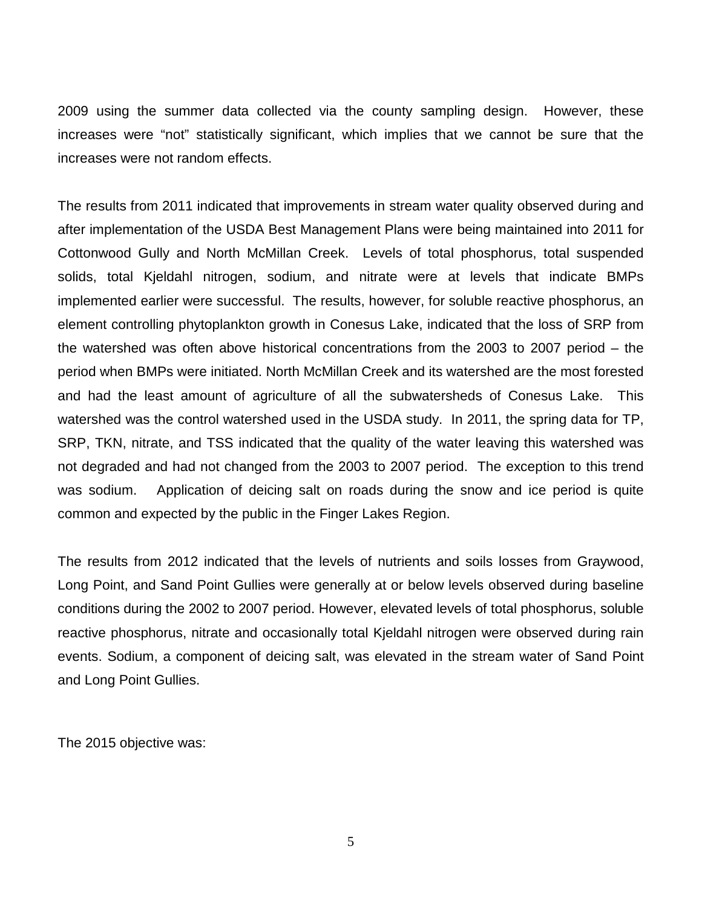2009 using the summer data collected via the county sampling design. However, these increases were "not" statistically significant, which implies that we cannot be sure that the increases were not random effects.

The results from 2011 indicated that improvements in stream water quality observed during and after implementation of the USDA Best Management Plans were being maintained into 2011 for Cottonwood Gully and North McMillan Creek. Levels of total phosphorus, total suspended solids, total Kjeldahl nitrogen, sodium, and nitrate were at levels that indicate BMPs implemented earlier were successful. The results, however, for soluble reactive phosphorus, an element controlling phytoplankton growth in Conesus Lake, indicated that the loss of SRP from the watershed was often above historical concentrations from the 2003 to 2007 period – the period when BMPs were initiated. North McMillan Creek and its watershed are the most forested and had the least amount of agriculture of all the subwatersheds of Conesus Lake. This watershed was the control watershed used in the USDA study. In 2011, the spring data for TP, SRP, TKN, nitrate, and TSS indicated that the quality of the water leaving this watershed was not degraded and had not changed from the 2003 to 2007 period. The exception to this trend was sodium. Application of deicing salt on roads during the snow and ice period is quite common and expected by the public in the Finger Lakes Region.

The results from 2012 indicated that the levels of nutrients and soils losses from Graywood, Long Point, and Sand Point Gullies were generally at or below levels observed during baseline conditions during the 2002 to 2007 period. However, elevated levels of total phosphorus, soluble reactive phosphorus, nitrate and occasionally total Kjeldahl nitrogen were observed during rain events. Sodium, a component of deicing salt, was elevated in the stream water of Sand Point and Long Point Gullies.

The 2015 objective was: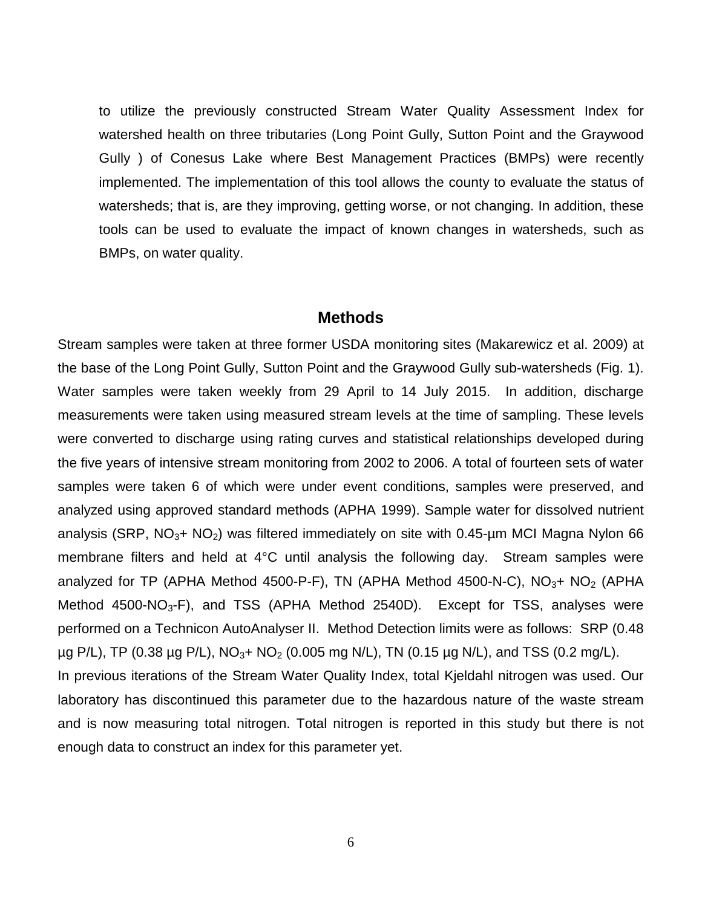to utilize the previously constructed Stream Water Quality Assessment Index for watershed health on three tributaries (Long Point Gully, Sutton Point and the Graywood Gully ) of Conesus Lake where Best Management Practices (BMPs) were recently implemented. The implementation of this tool allows the county to evaluate the status of watersheds; that is, are they improving, getting worse, or not changing. In addition, these tools can be used to evaluate the impact of known changes in watersheds, such as BMPs, on water quality.

## **Methods**

Stream samples were taken at three former USDA monitoring sites (Makarewicz et al. 2009) at the base of the Long Point Gully, Sutton Point and the Graywood Gully sub-watersheds (Fig. 1). Water samples were taken weekly from 29 April to 14 July 2015. In addition, discharge measurements were taken using measured stream levels at the time of sampling. These levels were converted to discharge using rating curves and statistical relationships developed during the five years of intensive stream monitoring from 2002 to 2006. A total of fourteen sets of water samples were taken 6 of which were under event conditions, samples were preserved, and analyzed using approved standard methods (APHA 1999). Sample water for dissolved nutrient analysis (SRP,  $NO<sub>3</sub> + NO<sub>2</sub>$ ) was filtered immediately on site with 0.45-µm MCI Magna Nylon 66 membrane filters and held at 4°C until analysis the following day. Stream samples were analyzed for TP (APHA Method 4500-P-F), TN (APHA Method 4500-N-C),  $NO<sub>3</sub> + NO<sub>2</sub>$  (APHA Method  $4500\text{-}NO_3\text{-}F$ ), and TSS (APHA Method 2540D). Except for TSS, analyses were performed on a Technicon AutoAnalyser II. Method Detection limits were as follows: SRP (0.48  $\mu$ g P/L), TP (0.38  $\mu$ g P/L), NO<sub>3</sub>+ NO<sub>2</sub> (0.005 mg N/L), TN (0.15  $\mu$ g N/L), and TSS (0.2 mg/L). In previous iterations of the Stream Water Quality Index, total Kjeldahl nitrogen was used. Our

laboratory has discontinued this parameter due to the hazardous nature of the waste stream and is now measuring total nitrogen. Total nitrogen is reported in this study but there is not enough data to construct an index for this parameter yet.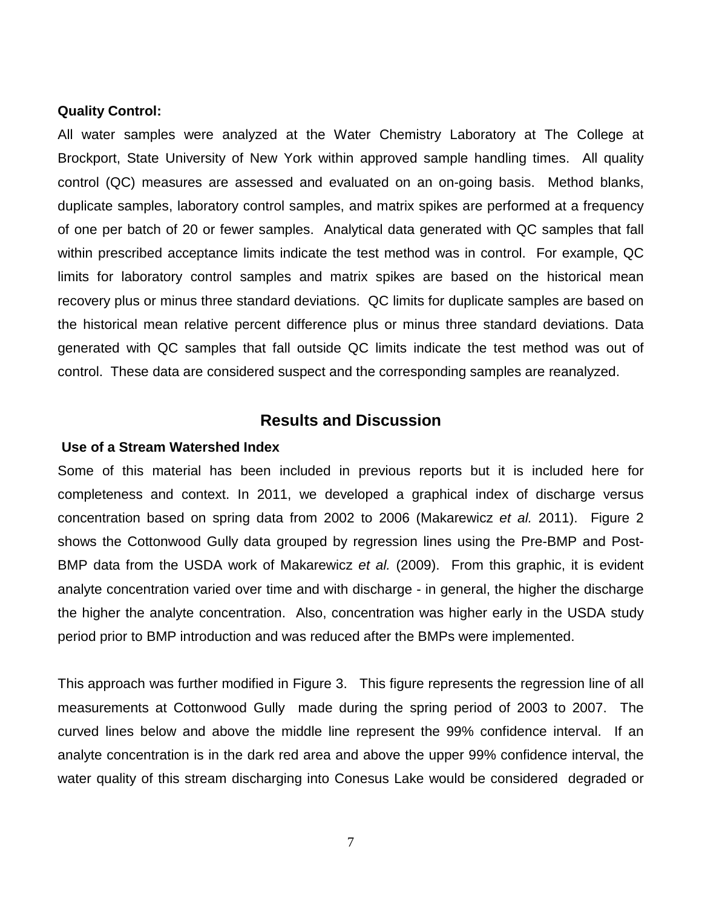#### **Quality Control:**

All water samples were analyzed at the Water Chemistry Laboratory at The College at Brockport, State University of New York within approved sample handling times. All quality control (QC) measures are assessed and evaluated on an on-going basis. Method blanks, duplicate samples, laboratory control samples, and matrix spikes are performed at a frequency of one per batch of 20 or fewer samples. Analytical data generated with QC samples that fall within prescribed acceptance limits indicate the test method was in control. For example, QC limits for laboratory control samples and matrix spikes are based on the historical mean recovery plus or minus three standard deviations. QC limits for duplicate samples are based on the historical mean relative percent difference plus or minus three standard deviations. Data generated with QC samples that fall outside QC limits indicate the test method was out of control. These data are considered suspect and the corresponding samples are reanalyzed.

## **Results and Discussion**

#### **Use of a Stream Watershed Index**

Some of this material has been included in previous reports but it is included here for completeness and context. In 2011, we developed a graphical index of discharge versus concentration based on spring data from 2002 to 2006 (Makarewicz *et al.* 2011). Figure 2 shows the Cottonwood Gully data grouped by regression lines using the Pre-BMP and Post-BMP data from the USDA work of Makarewicz *et al.* (2009). From this graphic, it is evident analyte concentration varied over time and with discharge - in general, the higher the discharge the higher the analyte concentration. Also, concentration was higher early in the USDA study period prior to BMP introduction and was reduced after the BMPs were implemented.

This approach was further modified in Figure 3. This figure represents the regression line of all measurements at Cottonwood Gully made during the spring period of 2003 to 2007. The curved lines below and above the middle line represent the 99% confidence interval. If an analyte concentration is in the dark red area and above the upper 99% confidence interval, the water quality of this stream discharging into Conesus Lake would be considered degraded or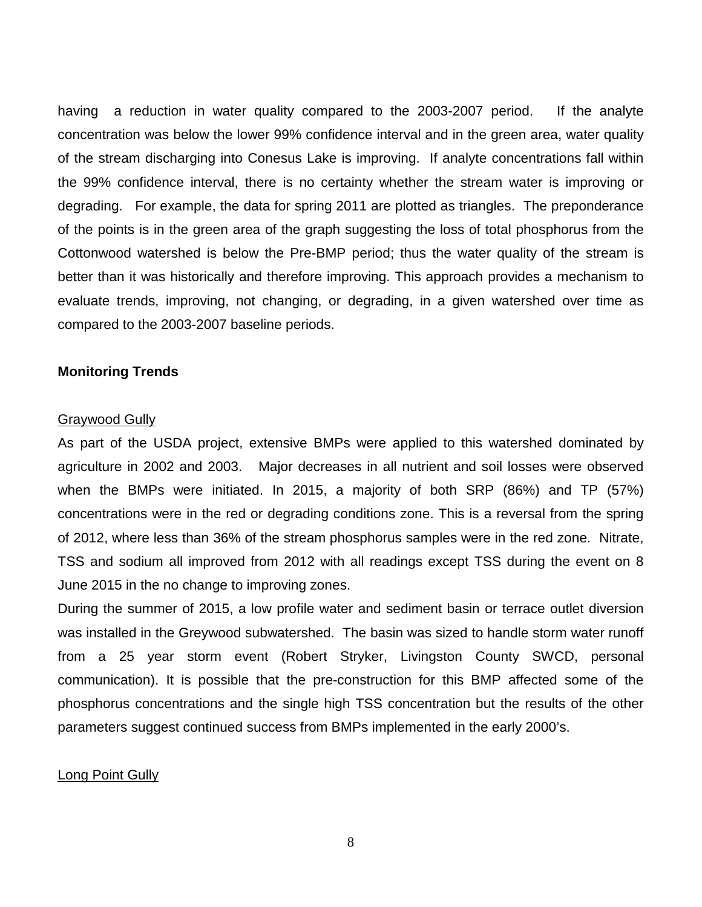having a reduction in water quality compared to the 2003-2007 period. If the analyte concentration was below the lower 99% confidence interval and in the green area, water quality of the stream discharging into Conesus Lake is improving. If analyte concentrations fall within the 99% confidence interval, there is no certainty whether the stream water is improving or degrading. For example, the data for spring 2011 are plotted as triangles. The preponderance of the points is in the green area of the graph suggesting the loss of total phosphorus from the Cottonwood watershed is below the Pre-BMP period; thus the water quality of the stream is better than it was historically and therefore improving. This approach provides a mechanism to evaluate trends, improving, not changing, or degrading, in a given watershed over time as compared to the 2003-2007 baseline periods.

### **Monitoring Trends**

#### Graywood Gully

As part of the USDA project, extensive BMPs were applied to this watershed dominated by agriculture in 2002 and 2003. Major decreases in all nutrient and soil losses were observed when the BMPs were initiated. In 2015, a majority of both SRP (86%) and TP (57%) concentrations were in the red or degrading conditions zone. This is a reversal from the spring of 2012, where less than 36% of the stream phosphorus samples were in the red zone. Nitrate, TSS and sodium all improved from 2012 with all readings except TSS during the event on 8 June 2015 in the no change to improving zones.

During the summer of 2015, a low profile water and sediment basin or terrace outlet diversion was installed in the Greywood subwatershed. The basin was sized to handle storm water runoff from a 25 year storm event (Robert Stryker, Livingston County SWCD, personal communication). It is possible that the pre-construction for this BMP affected some of the phosphorus concentrations and the single high TSS concentration but the results of the other parameters suggest continued success from BMPs implemented in the early 2000's.

#### Long Point Gully

8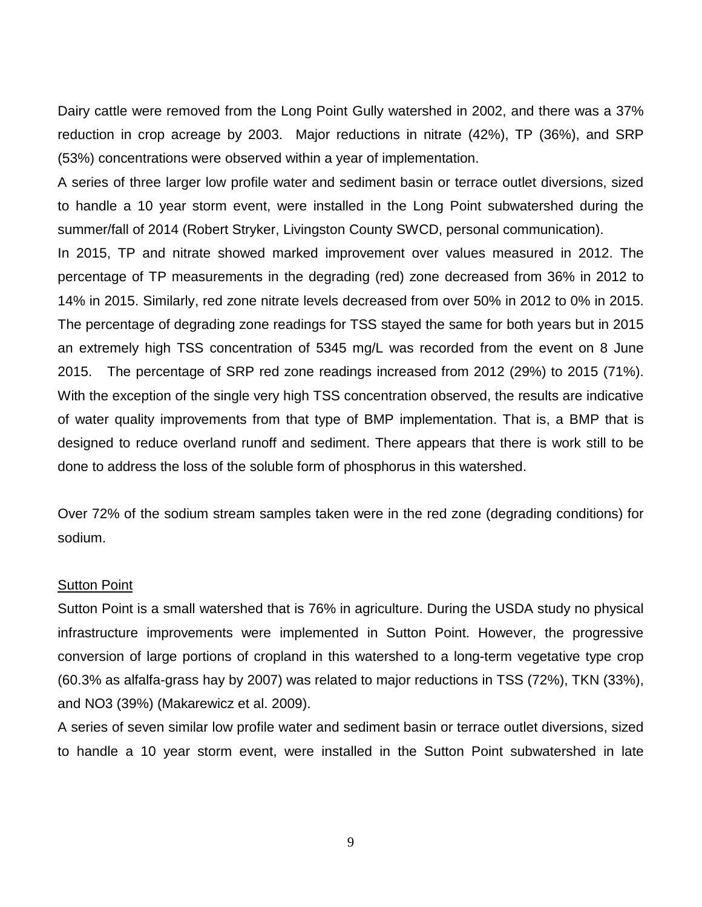Dairy cattle were removed from the Long Point Gully watershed in 2002, and there was a 37% reduction in crop acreage by 2003. Major reductions in nitrate (42%), TP (36%), and SRP (53%) concentrations were observed within a year of implementation.

A series of three larger low profile water and sediment basin or terrace outlet diversions, sized to handle a 10 year storm event, were installed in the Long Point subwatershed during the summer/fall of 2014 (Robert Stryker, Livingston County SWCD, personal communication).

In 2015, TP and nitrate showed marked improvement over values measured in 2012. The percentage of TP measurements in the degrading (red) zone decreased from 36% in 2012 to 14% in 2015. Similarly, red zone nitrate levels decreased from over 50% in 2012 to 0% in 2015. The percentage of degrading zone readings for TSS stayed the same for both years but in 2015 an extremely high TSS concentration of 5345 mg/L was recorded from the event on 8 June 2015. The percentage of SRP red zone readings increased from 2012 (29%) to 2015 (71%). With the exception of the single very high TSS concentration observed, the results are indicative of water quality improvements from that type of BMP implementation. That is, a BMP that is designed to reduce overland runoff and sediment. There appears that there is work still to be done to address the loss of the soluble form of phosphorus in this watershed.

Over 72% of the sodium stream samples taken were in the red zone (degrading conditions) for sodium.

#### **Sutton Point**

Sutton Point is a small watershed that is 76% in agriculture. During the USDA study no physical infrastructure improvements were implemented in Sutton Point. However, the progressive conversion of large portions of cropland in this watershed to a long-term vegetative type crop (60.3% as alfalfa-grass hay by 2007) was related to major reductions in TSS (72%), TKN (33%), and NO3 (39%) (Makarewicz et al. 2009).

A series of seven similar low profile water and sediment basin or terrace outlet diversions, sized to handle a 10 year storm event, were installed in the Sutton Point subwatershed in late

9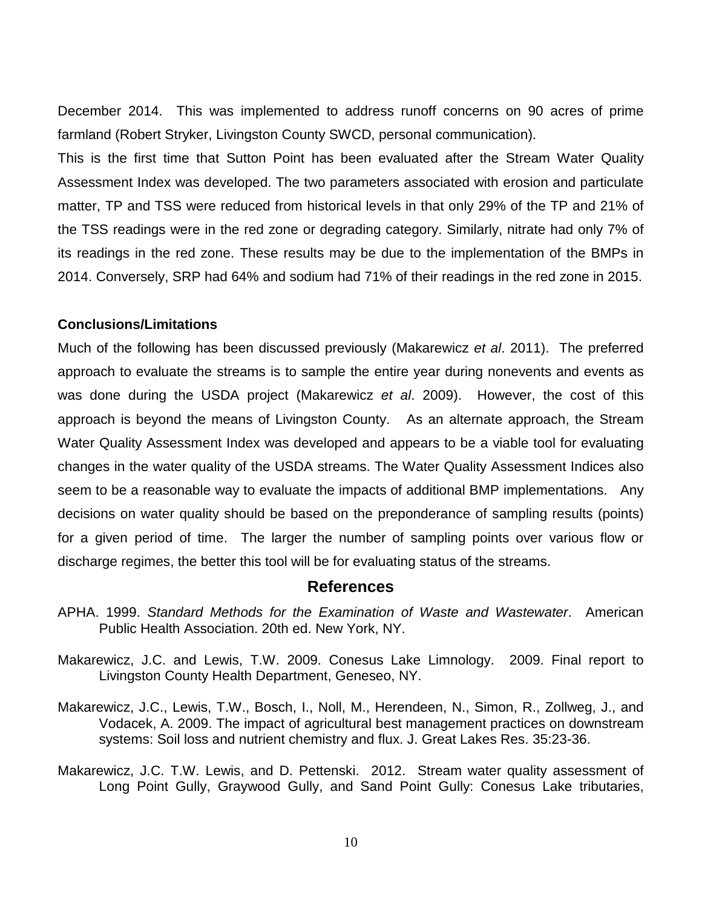December 2014. This was implemented to address runoff concerns on 90 acres of prime farmland (Robert Stryker, Livingston County SWCD, personal communication).

This is the first time that Sutton Point has been evaluated after the Stream Water Quality Assessment Index was developed. The two parameters associated with erosion and particulate matter, TP and TSS were reduced from historical levels in that only 29% of the TP and 21% of the TSS readings were in the red zone or degrading category. Similarly, nitrate had only 7% of its readings in the red zone. These results may be due to the implementation of the BMPs in 2014. Conversely, SRP had 64% and sodium had 71% of their readings in the red zone in 2015.

#### **Conclusions/Limitations**

Much of the following has been discussed previously (Makarewicz *et al*. 2011). The preferred approach to evaluate the streams is to sample the entire year during nonevents and events as was done during the USDA project (Makarewicz *et al*. 2009). However, the cost of this approach is beyond the means of Livingston County. As an alternate approach, the Stream Water Quality Assessment Index was developed and appears to be a viable tool for evaluating changes in the water quality of the USDA streams. The Water Quality Assessment Indices also seem to be a reasonable way to evaluate the impacts of additional BMP implementations. Any decisions on water quality should be based on the preponderance of sampling results (points) for a given period of time. The larger the number of sampling points over various flow or discharge regimes, the better this tool will be for evaluating status of the streams.

## **References**

- APHA. 1999. *Standard Methods for the Examination of Waste and Wastewater*. American Public Health Association. 20th ed. New York, NY.
- Makarewicz, J.C. and Lewis, T.W. 2009. Conesus Lake Limnology. 2009. Final report to Livingston County Health Department, Geneseo, NY.
- Makarewicz, J.C., Lewis, T.W., Bosch, I., Noll, M., Herendeen, N., Simon, R., Zollweg, J., and Vodacek, A. 2009. The impact of agricultural best management practices on downstream systems: Soil loss and nutrient chemistry and flux. J. Great Lakes Res. 35:23-36.
- Makarewicz, J.C. T.W. Lewis, and D. Pettenski. 2012. Stream water quality assessment of Long Point Gully, Graywood Gully, and Sand Point Gully: Conesus Lake tributaries,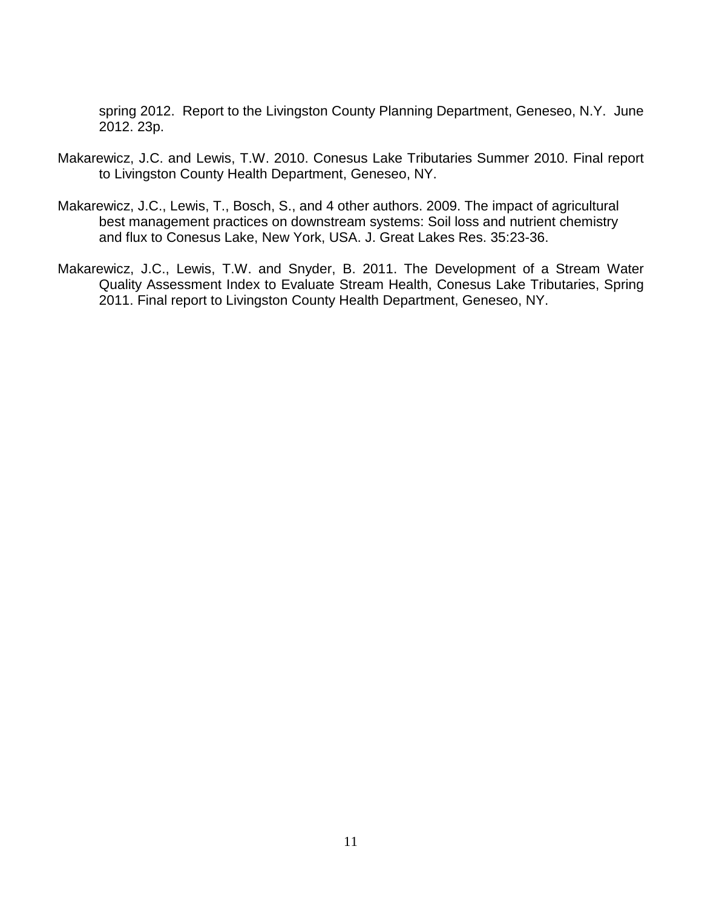spring 2012. Report to the Livingston County Planning Department, Geneseo, N.Y. June 2012. 23p.

- Makarewicz, J.C. and Lewis, T.W. 2010. Conesus Lake Tributaries Summer 2010. Final report to Livingston County Health Department, Geneseo, NY.
- Makarewicz, J.C., Lewis, T., Bosch, S., and 4 other authors. 2009. The impact of agricultural best management practices on downstream systems: Soil loss and nutrient chemistry and flux to Conesus Lake, New York, USA. J. Great Lakes Res. 35:23-36.
- Makarewicz, J.C., Lewis, T.W. and Snyder, B. 2011. The Development of a Stream Water Quality Assessment Index to Evaluate Stream Health, Conesus Lake Tributaries, Spring 2011. Final report to Livingston County Health Department, Geneseo, NY.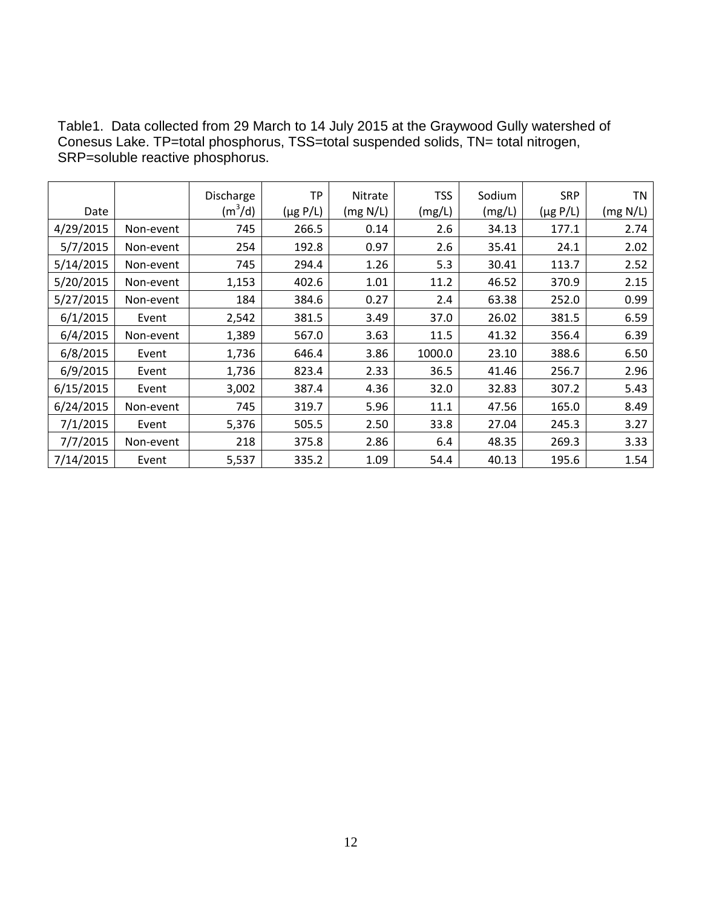| Table1. Data collected from 29 March to 14 July 2015 at the Graywood Gully watershed of |  |
|-----------------------------------------------------------------------------------------|--|
| Conesus Lake. TP=total phosphorus, TSS=total suspended solids, TN= total nitrogen,      |  |
| SRP=soluble reactive phosphorus.                                                        |  |

|           |           | Discharge           | TP            | Nitrate  | TSS    | Sodium | <b>SRP</b>    | TN       |
|-----------|-----------|---------------------|---------------|----------|--------|--------|---------------|----------|
| Date      |           | (m <sup>3</sup> /d) | $(\mu g P/L)$ | (mg N/L) | (mg/L) | (mg/L) | $(\mu g P/L)$ | (mg N/L) |
| 4/29/2015 | Non-event | 745                 | 266.5         | 0.14     | 2.6    | 34.13  | 177.1         | 2.74     |
| 5/7/2015  | Non-event | 254                 | 192.8         | 0.97     | 2.6    | 35.41  | 24.1          | 2.02     |
| 5/14/2015 | Non-event | 745                 | 294.4         | 1.26     | 5.3    | 30.41  | 113.7         | 2.52     |
| 5/20/2015 | Non-event | 1,153               | 402.6         | 1.01     | 11.2   | 46.52  | 370.9         | 2.15     |
| 5/27/2015 | Non-event | 184                 | 384.6         | 0.27     | 2.4    | 63.38  | 252.0         | 0.99     |
| 6/1/2015  | Event     | 2,542               | 381.5         | 3.49     | 37.0   | 26.02  | 381.5         | 6.59     |
| 6/4/2015  | Non-event | 1,389               | 567.0         | 3.63     | 11.5   | 41.32  | 356.4         | 6.39     |
| 6/8/2015  | Event     | 1,736               | 646.4         | 3.86     | 1000.0 | 23.10  | 388.6         | 6.50     |
| 6/9/2015  | Event     | 1,736               | 823.4         | 2.33     | 36.5   | 41.46  | 256.7         | 2.96     |
| 6/15/2015 | Event     | 3,002               | 387.4         | 4.36     | 32.0   | 32.83  | 307.2         | 5.43     |
| 6/24/2015 | Non-event | 745                 | 319.7         | 5.96     | 11.1   | 47.56  | 165.0         | 8.49     |
| 7/1/2015  | Event     | 5,376               | 505.5         | 2.50     | 33.8   | 27.04  | 245.3         | 3.27     |
| 7/7/2015  | Non-event | 218                 | 375.8         | 2.86     | 6.4    | 48.35  | 269.3         | 3.33     |
| 7/14/2015 | Event     | 5,537               | 335.2         | 1.09     | 54.4   | 40.13  | 195.6         | 1.54     |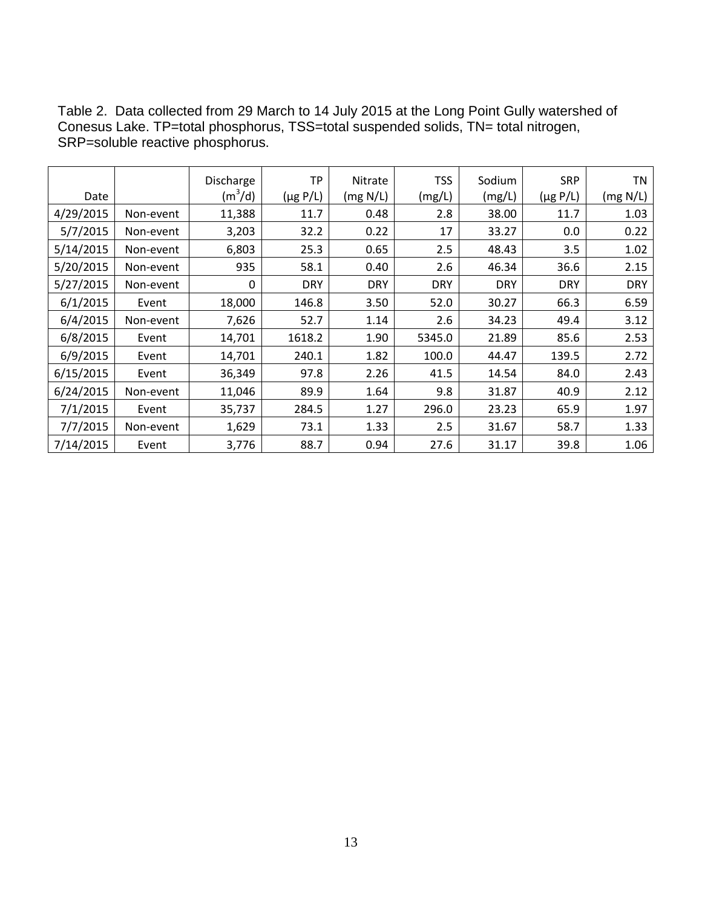|           |           | Discharge | TP            | Nitrate    | <b>TSS</b> | Sodium     | <b>SRP</b>    | TN         |
|-----------|-----------|-----------|---------------|------------|------------|------------|---------------|------------|
| Date      |           | $(m^3/d)$ | $(\mu g P/L)$ | (mg N/L)   | (mg/L)     | (mg/L)     | $(\mu g P/L)$ | (mg N/L)   |
| 4/29/2015 | Non-event | 11,388    | 11.7          | 0.48       | 2.8        | 38.00      | 11.7          | 1.03       |
| 5/7/2015  | Non-event | 3,203     | 32.2          | 0.22       | 17         | 33.27      | 0.0           | 0.22       |
| 5/14/2015 | Non-event | 6,803     | 25.3          | 0.65       | 2.5        | 48.43      | 3.5           | 1.02       |
| 5/20/2015 | Non-event | 935       | 58.1          | 0.40       | 2.6        | 46.34      | 36.6          | 2.15       |
| 5/27/2015 | Non-event | 0         | <b>DRY</b>    | <b>DRY</b> | <b>DRY</b> | <b>DRY</b> | <b>DRY</b>    | <b>DRY</b> |
| 6/1/2015  | Event     | 18,000    | 146.8         | 3.50       | 52.0       | 30.27      | 66.3          | 6.59       |
| 6/4/2015  | Non-event | 7,626     | 52.7          | 1.14       | 2.6        | 34.23      | 49.4          | 3.12       |
| 6/8/2015  | Event     | 14,701    | 1618.2        | 1.90       | 5345.0     | 21.89      | 85.6          | 2.53       |
| 6/9/2015  | Event     | 14,701    | 240.1         | 1.82       | 100.0      | 44.47      | 139.5         | 2.72       |
| 6/15/2015 | Event     | 36,349    | 97.8          | 2.26       | 41.5       | 14.54      | 84.0          | 2.43       |
| 6/24/2015 | Non-event | 11,046    | 89.9          | 1.64       | 9.8        | 31.87      | 40.9          | 2.12       |
| 7/1/2015  | Event     | 35,737    | 284.5         | 1.27       | 296.0      | 23.23      | 65.9          | 1.97       |
| 7/7/2015  | Non-event | 1,629     | 73.1          | 1.33       | 2.5        | 31.67      | 58.7          | 1.33       |
| 7/14/2015 | Event     | 3,776     | 88.7          | 0.94       | 27.6       | 31.17      | 39.8          | 1.06       |

Table 2. Data collected from 29 March to 14 July 2015 at the Long Point Gully watershed of Conesus Lake. TP=total phosphorus, TSS=total suspended solids, TN= total nitrogen, SRP=soluble reactive phosphorus.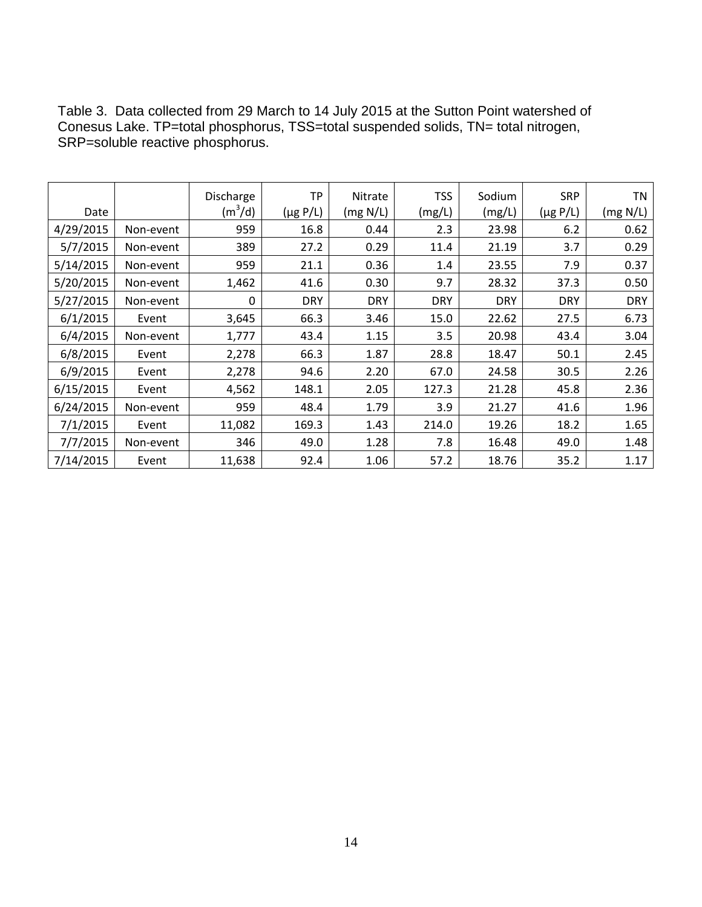Table 3. Data collected from 29 March to 14 July 2015 at the Sutton Point watershed of Conesus Lake. TP=total phosphorus, TSS=total suspended solids, TN= total nitrogen, SRP=soluble reactive phosphorus.

|           |           | Discharge | TP            | Nitrate    | <b>TSS</b> | Sodium     | <b>SRP</b>    | ΤN         |
|-----------|-----------|-----------|---------------|------------|------------|------------|---------------|------------|
| Date      |           | $(m^3/d)$ | $(\mu g P/L)$ | (mg N/L)   | (mg/L)     | (mg/L)     | $(\mu g P/L)$ | (mg N/L)   |
| 4/29/2015 | Non-event | 959       | 16.8          | 0.44       | 2.3        | 23.98      | 6.2           | 0.62       |
| 5/7/2015  | Non-event | 389       | 27.2          | 0.29       | 11.4       | 21.19      | 3.7           | 0.29       |
| 5/14/2015 | Non-event | 959       | 21.1          | 0.36       | 1.4        | 23.55      | 7.9           | 0.37       |
| 5/20/2015 | Non-event | 1,462     | 41.6          | 0.30       | 9.7        | 28.32      | 37.3          | 0.50       |
| 5/27/2015 | Non-event | 0         | <b>DRY</b>    | <b>DRY</b> | <b>DRY</b> | <b>DRY</b> | <b>DRY</b>    | <b>DRY</b> |
| 6/1/2015  | Event     | 3,645     | 66.3          | 3.46       | 15.0       | 22.62      | 27.5          | 6.73       |
| 6/4/2015  | Non-event | 1,777     | 43.4          | 1.15       | 3.5        | 20.98      | 43.4          | 3.04       |
| 6/8/2015  | Event     | 2,278     | 66.3          | 1.87       | 28.8       | 18.47      | 50.1          | 2.45       |
| 6/9/2015  | Event     | 2,278     | 94.6          | 2.20       | 67.0       | 24.58      | 30.5          | 2.26       |
| 6/15/2015 | Event     | 4,562     | 148.1         | 2.05       | 127.3      | 21.28      | 45.8          | 2.36       |
| 6/24/2015 | Non-event | 959       | 48.4          | 1.79       | 3.9        | 21.27      | 41.6          | 1.96       |
| 7/1/2015  | Event     | 11,082    | 169.3         | 1.43       | 214.0      | 19.26      | 18.2          | 1.65       |
| 7/7/2015  | Non-event | 346       | 49.0          | 1.28       | 7.8        | 16.48      | 49.0          | 1.48       |
| 7/14/2015 | Event     | 11,638    | 92.4          | 1.06       | 57.2       | 18.76      | 35.2          | 1.17       |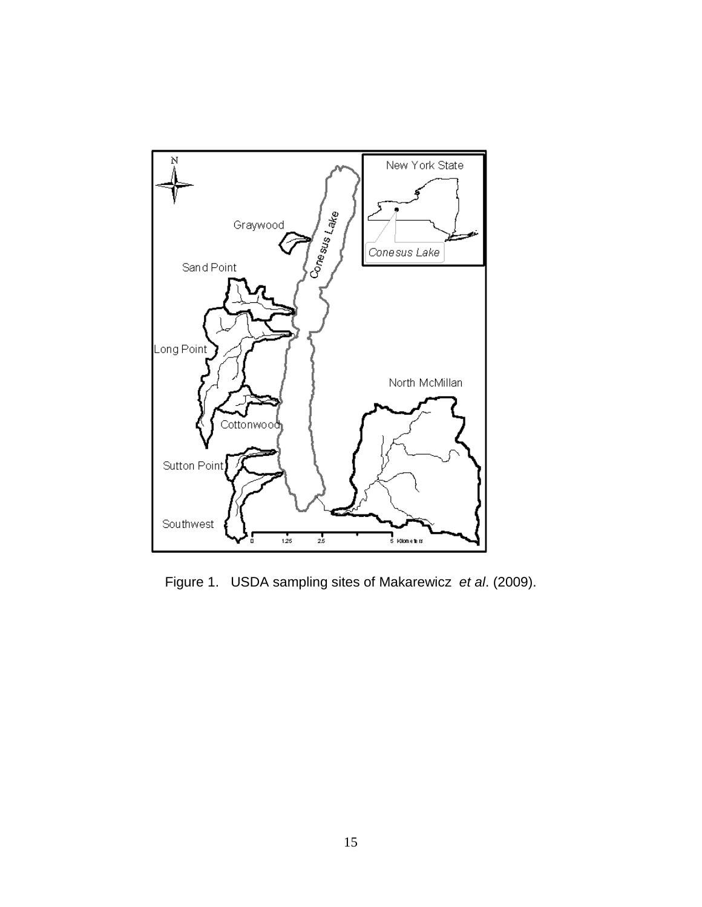

Figure 1. USDA sampling sites of Makarewicz *et al*. (2009).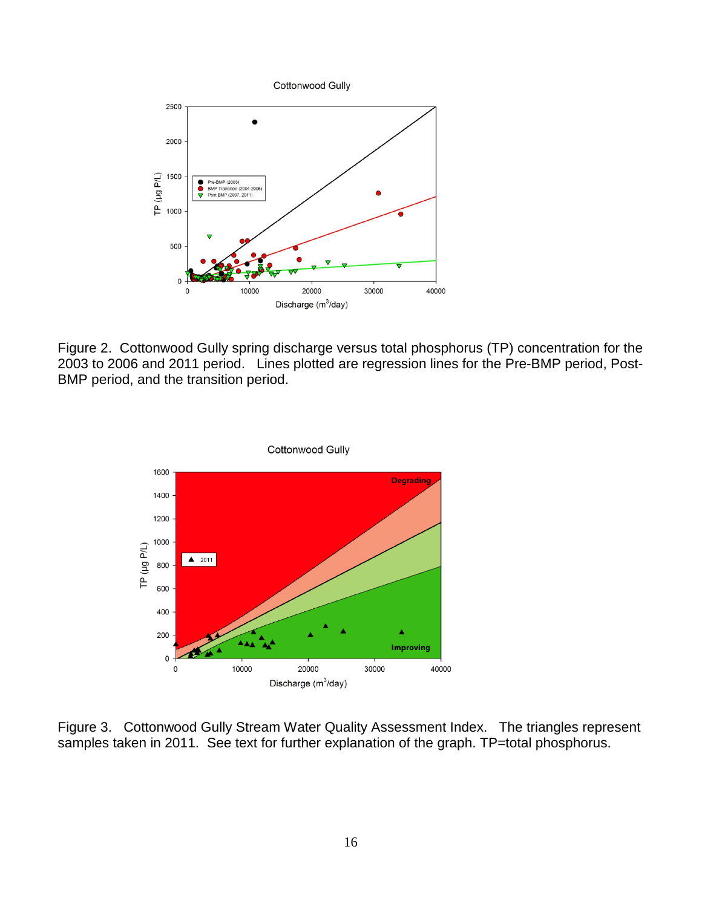

Figure 2. Cottonwood Gully spring discharge versus total phosphorus (TP) concentration for the 2003 to 2006 and 2011 period. Lines plotted are regression lines for the Pre-BMP period, Post-BMP period, and the transition period.



Figure 3. Cottonwood Gully Stream Water Quality Assessment Index. The triangles represent samples taken in 2011. See text for further explanation of the graph. TP=total phosphorus.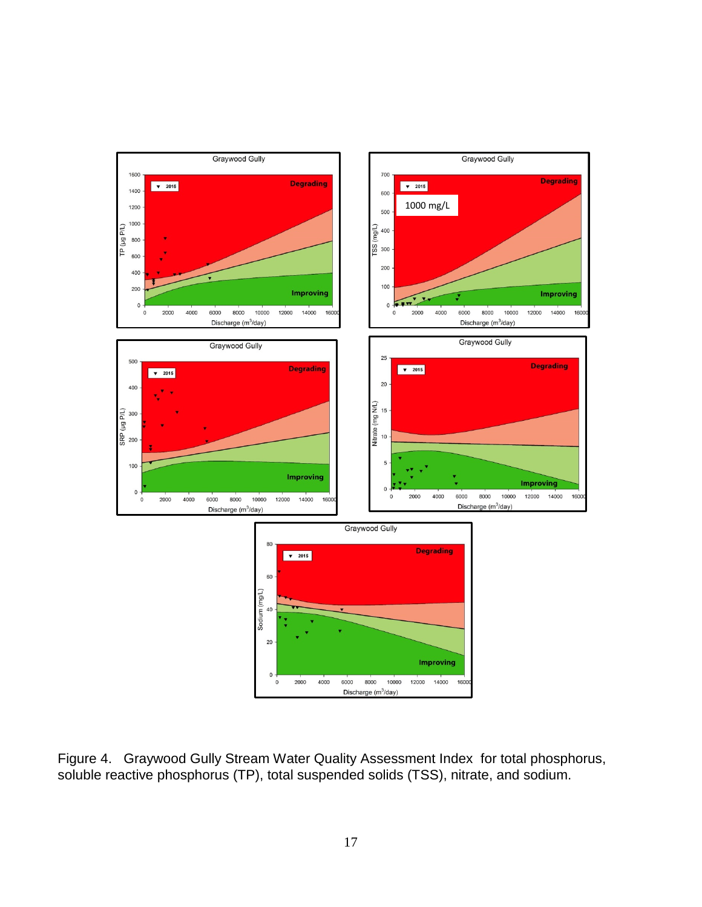

Figure 4. Graywood Gully Stream Water Quality Assessment Index for total phosphorus, soluble reactive phosphorus (TP), total suspended solids (TSS), nitrate, and sodium.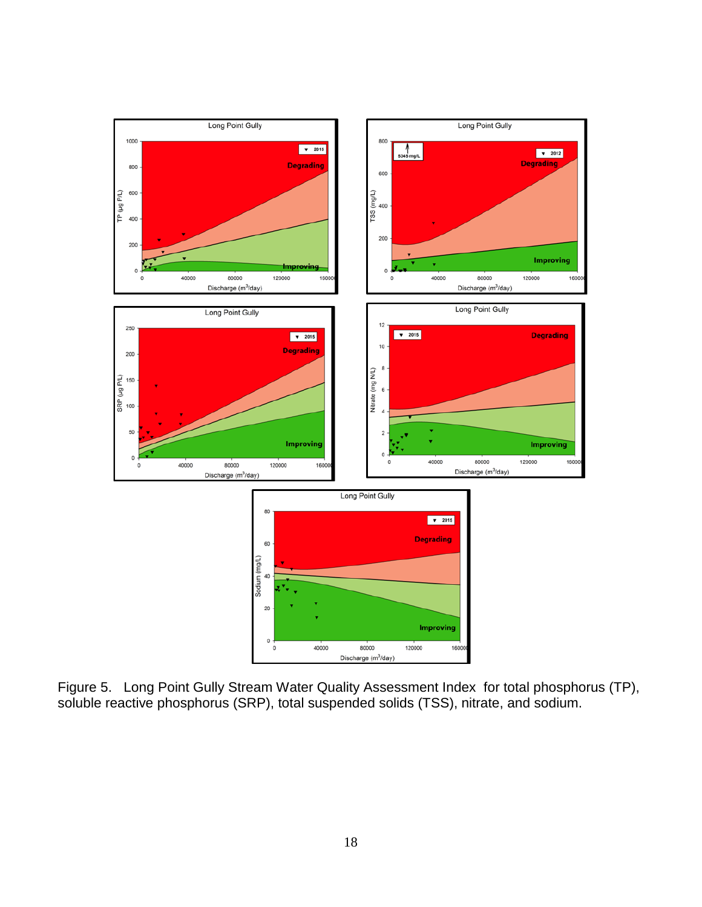

Figure 5. Long Point Gully Stream Water Quality Assessment Index for total phosphorus (TP), soluble reactive phosphorus (SRP), total suspended solids (TSS), nitrate, and sodium.